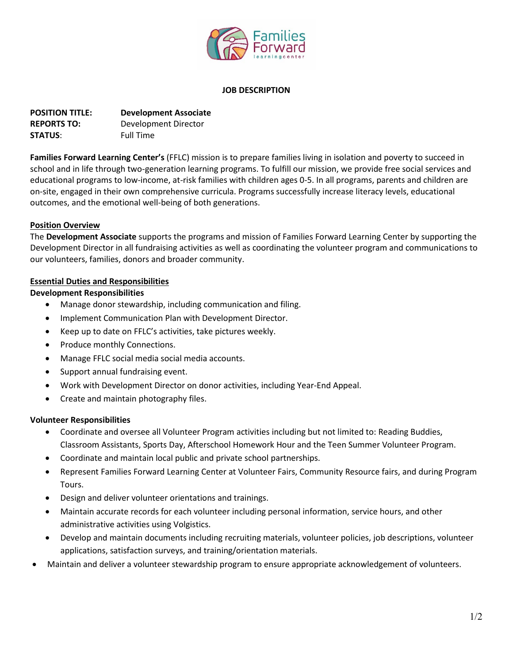

#### **JOB DESCRIPTION**

| <b>POSITION TITLE:</b> | <b>Development Associate</b> |
|------------------------|------------------------------|
| <b>REPORTS TO:</b>     | Development Director         |
| <b>STATUS:</b>         | <b>Full Time</b>             |

**Families Forward Learning Center's** (FFLC) mission is to prepare families living in isolation and poverty to succeed in school and in life through two-generation learning programs. To fulfill our mission, we provide free social services and educational programs to low-income, at-risk families with children ages 0-5. In all programs, parents and children are on-site, engaged in their own comprehensive curricula. Programs successfully increase literacy levels, educational outcomes, and the emotional well-being of both generations.

#### **Position Overview**

The **Development Associate** supports the programs and mission of Families Forward Learning Center by supporting the Development Director in all fundraising activities as well as coordinating the volunteer program and communications to our volunteers, families, donors and broader community.

#### **Essential Duties and Responsibilities**

#### **Development Responsibilities**

- Manage donor stewardship, including communication and filing.
- Implement Communication Plan with Development Director.
- Keep up to date on FFLC's activities, take pictures weekly.
- Produce monthly Connections.
- Manage FFLC social media social media accounts.
- Support annual fundraising event.
- Work with Development Director on donor activities, including Year-End Appeal.
- Create and maintain photography files.

## **Volunteer Responsibilities**

- Coordinate and oversee all Volunteer Program activities including but not limited to: Reading Buddies, Classroom Assistants, Sports Day, Afterschool Homework Hour and the Teen Summer Volunteer Program.
- Coordinate and maintain local public and private school partnerships.
- Represent Families Forward Learning Center at Volunteer Fairs, Community Resource fairs, and during Program Tours.
- Design and deliver volunteer orientations and trainings.
- Maintain accurate records for each volunteer including personal information, service hours, and other administrative activities using Volgistics.
- Develop and maintain documents including recruiting materials, volunteer policies, job descriptions, volunteer applications, satisfaction surveys, and training/orientation materials.
- Maintain and deliver a volunteer stewardship program to ensure appropriate acknowledgement of volunteers.